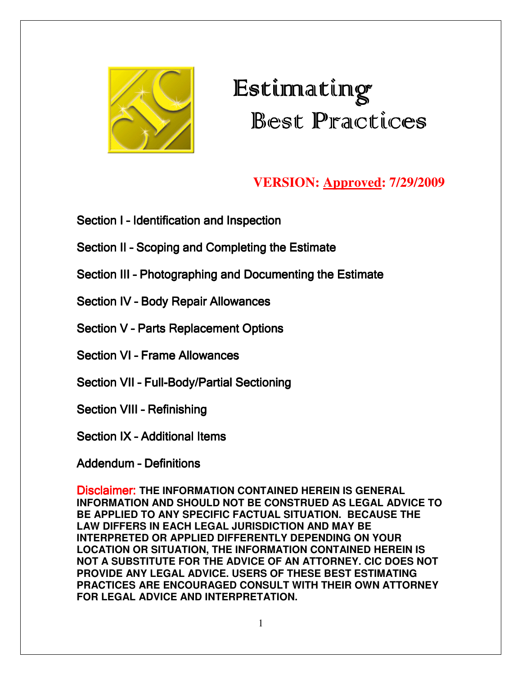

# $\mathop{\hbox{\rm Est}}$ innating Best Practices

### **VERSION: Approved: 7/29/2009**

Section I - Identification and Inspection

- Section II Scoping and Completing the Estimate
- Section III Photographing and Documenting the Estimate

Section IV - Body Repair Allowances

Section V - Parts Replacement Options

**Section VI - Frame Allowances** 

Section VII - Full-Body/Partial Sectioning

Section VIII - Refinishing

Section IX - Additional Items

### Addendum - Definitions

Disclaimer: **THE INFORMATION CONTAINED HEREIN IS GENERAL INFORMATION AND SHOULD NOT BE CONSTRUED AS LEGAL ADVICE TO BE APPLIED TO ANY SPECIFIC FACTUAL SITUATION. BECAUSE THE LAW DIFFERS IN EACH LEGAL JURISDICTION AND MAY BE INTERPRETED OR APPLIED DIFFERENTLY DEPENDING ON YOUR LOCATION OR SITUATION, THE INFORMATION CONTAINED HEREIN IS NOT A SUBSTITUTE FOR THE ADVICE OF AN ATTORNEY. CIC DOES NOT PROVIDE ANY LEGAL ADVICE. USERS OF THESE BEST ESTIMATING PRACTICES ARE ENCOURAGED CONSULT WITH THEIR OWN ATTORNEY FOR LEGAL ADVICE AND INTERPRETATION.**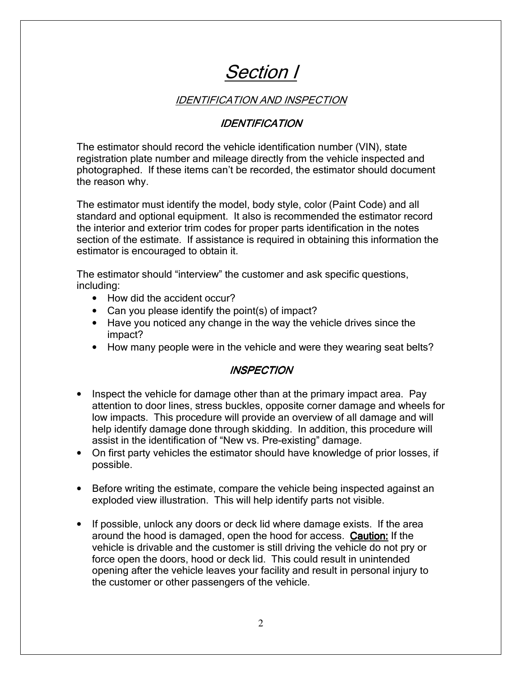## Section I

### IDENTIFICATION AND INSPECTION

### **IDENTIFICATION**

The estimator should record the vehicle identification number (VIN), state registration plate number and mileage directly from the vehicle inspected and photographed. If these items can't be recorded, the estimator should document the reason why.

The estimator must identify the model, body style, color (Paint Code) and all standard and optional equipment. It also is recommended the estimator record the interior and exterior trim codes for proper parts identification in the notes section of the estimate. If assistance is required in obtaining this information the estimator is encouraged to obtain it.

The estimator should "interview" the customer and ask specific questions, including:

- How did the accident occur?
- Can you please identify the point(s) of impact?
- Have you noticed any change in the way the vehicle drives since the impact?
- How many people were in the vehicle and were they wearing seat belts?

### **INSPECTION**

- Inspect the vehicle for damage other than at the primary impact area. Pay attention to door lines, stress buckles, opposite corner damage and wheels for low impacts. This procedure will provide an overview of all damage and will help identify damage done through skidding. In addition, this procedure will assist in the identification of "New vs. Pre-existing" damage.
- On first party vehicles the estimator should have knowledge of prior losses, if possible.
- Before writing the estimate, compare the vehicle being inspected against an exploded view illustration. This will help identify parts not visible.
- If possible, unlock any doors or deck lid where damage exists. If the area around the hood is damaged, open the hood for access. Caution: If the vehicle is drivable and the customer is still driving the vehicle do not pry or force open the doors, hood or deck lid. This could result in unintended opening after the vehicle leaves your facility and result in personal injury to the customer or other passengers of the vehicle.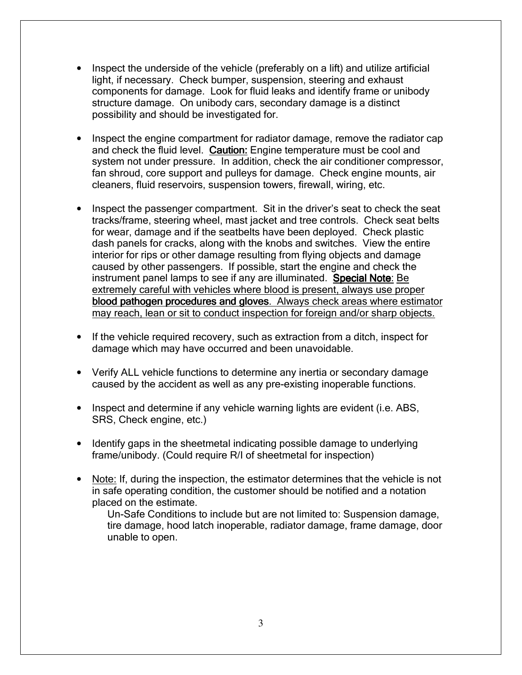- Inspect the underside of the vehicle (preferably on a lift) and utilize artificial light, if necessary. Check bumper, suspension, steering and exhaust components for damage. Look for fluid leaks and identify frame or unibody structure damage. On unibody cars, secondary damage is a distinct possibility and should be investigated for.
- Inspect the engine compartment for radiator damage, remove the radiator cap and check the fluid level. Caution: Engine temperature must be cool and system not under pressure. In addition, check the air conditioner compressor, fan shroud, core support and pulleys for damage. Check engine mounts, air cleaners, fluid reservoirs, suspension towers, firewall, wiring, etc.
- Inspect the passenger compartment. Sit in the driver's seat to check the seat tracks/frame, steering wheel, mast jacket and tree controls. Check seat belts for wear, damage and if the seatbelts have been deployed. Check plastic dash panels for cracks, along with the knobs and switches. View the entire interior for rips or other damage resulting from flying objects and damage caused by other passengers. If possible, start the engine and check the instrument panel lamps to see if any are illuminated. Special Note: Be extremely careful with vehicles where blood is present, always use proper blood pathogen procedures and gloves. Always check areas where estimator may reach, lean or sit to conduct inspection for foreign and/or sharp objects.
- If the vehicle required recovery, such as extraction from a ditch, inspect for damage which may have occurred and been unavoidable.
- Verify ALL vehicle functions to determine any inertia or secondary damage caused by the accident as well as any pre-existing inoperable functions.
- Inspect and determine if any vehicle warning lights are evident (i.e. ABS, SRS, Check engine, etc.)
- Identify gaps in the sheetmetal indicating possible damage to underlying frame/unibody. (Could require R/I of sheetmetal for inspection)
- Note: If, during the inspection, the estimator determines that the vehicle is not in safe operating condition, the customer should be notified and a notation placed on the estimate.

Un-Safe Conditions to include but are not limited to: Suspension damage, tire damage, hood latch inoperable, radiator damage, frame damage, door unable to open.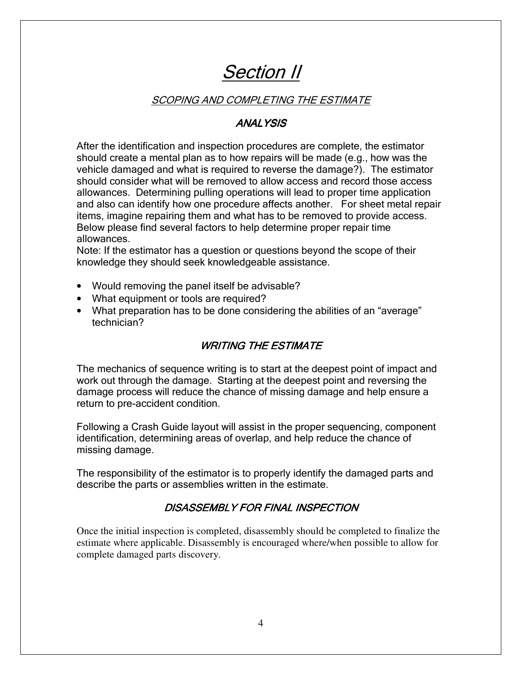## Section II

### SCOPING AND COMPLETING THE ESTIMATE

### **ANALYSIS**

After the identification and inspection procedures are complete, the estimator should create a mental plan as to how repairs will be made (e.g., how was the vehicle damaged and what is required to reverse the damage?). The estimator should consider what will be removed to allow access and record those access allowances. Determining pulling operations will lead to proper time application and also can identify how one procedure affects another. For sheet metal repair items, imagine repairing them and what has to be removed to provide access. Below please find several factors to help determine proper repair time allowances.

Note: If the estimator has a question or questions beyond the scope of their knowledge they should seek knowledgeable assistance.

- Would removing the panel itself be advisable?
- What equipment or tools are required?
- What preparation has to be done considering the abilities of an "average" technician?

### **WRITING THE ESTIMATE**

The mechanics of sequence writing is to start at the deepest point of impact and work out through the damage. Starting at the deepest point and reversing the damage process will reduce the chance of missing damage and help ensure a return to pre-accident condition.

Following a Crash Guide layout will assist in the proper sequencing, component identification, determining areas of overlap, and help reduce the chance of missing damage.

The responsibility of the estimator is to properly identify the damaged parts and describe the parts or assemblies written in the estimate.

### DISASSEMBLY FOR FINAL INSPECTION

Once the initial inspection is completed, disassembly should be completed to finalize the estimate where applicable. Disassembly is encouraged where/when possible to allow for complete damaged parts discovery.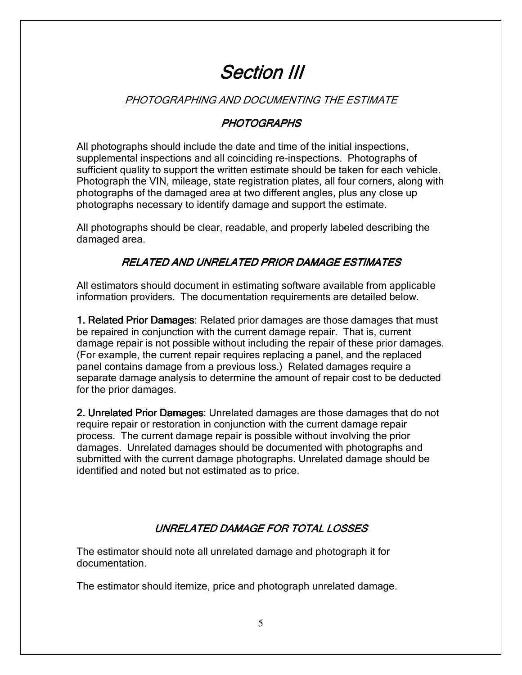## Section III

### PHOTOGRAPHING AND DOCUMENTING THE ESTIMATE

### **PHOTOGRAPHS**

All photographs should include the date and time of the initial inspections, supplemental inspections and all coinciding re-inspections. Photographs of sufficient quality to support the written estimate should be taken for each vehicle. Photograph the VIN, mileage, state registration plates, all four corners, along with photographs of the damaged area at two different angles, plus any close up photographs necessary to identify damage and support the estimate.

All photographs should be clear, readable, and properly labeled describing the damaged area.

### RELATED AND UNRELATED PRIOR DAMAGE ESTIMATES

All estimators should document in estimating software available from applicable information providers. The documentation requirements are detailed below.

1. Related Prior Damages: Related prior damages are those damages that must be repaired in conjunction with the current damage repair. That is, current damage repair is not possible without including the repair of these prior damages. (For example, the current repair requires replacing a panel, and the replaced panel contains damage from a previous loss.) Related damages require a separate damage analysis to determine the amount of repair cost to be deducted for the prior damages.

2. Unrelated Prior Damages: Unrelated damages are those damages that do not require repair or restoration in conjunction with the current damage repair process. The current damage repair is possible without involving the prior damages. Unrelated damages should be documented with photographs and submitted with the current damage photographs. Unrelated damage should be identified and noted but not estimated as to price.

### UNRELATED DAMAGE FOR TOTAL LOSSES

The estimator should note all unrelated damage and photograph it for documentation.

The estimator should itemize, price and photograph unrelated damage.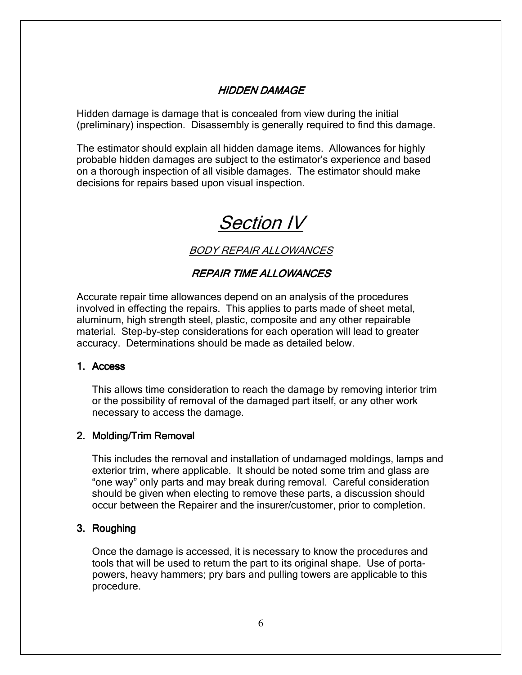### HIDDEN DAMAGE

Hidden damage is damage that is concealed from view during the initial (preliminary) inspection. Disassembly is generally required to find this damage.

The estimator should explain all hidden damage items. Allowances for highly probable hidden damages are subject to the estimator's experience and based on a thorough inspection of all visible damages. The estimator should make decisions for repairs based upon visual inspection.

## Section IV

BODY REPAIR ALLOWANCES

### REPAIR TIME ALLOWANCES

Accurate repair time allowances depend on an analysis of the procedures involved in effecting the repairs. This applies to parts made of sheet metal, aluminum, high strength steel, plastic, composite and any other repairable material. Step-by-step considerations for each operation will lead to greater accuracy. Determinations should be made as detailed below.

#### 1. Access

This allows time consideration to reach the damage by removing interior trim or the possibility of removal of the damaged part itself, or any other work necessary to access the damage.

### 2. Molding/Trim Removal

This includes the removal and installation of undamaged moldings, lamps and exterior trim, where applicable. It should be noted some trim and glass are "one way" only parts and may break during removal. Careful consideration should be given when electing to remove these parts, a discussion should occur between the Repairer and the insurer/customer, prior to completion.

#### 3. Roughing

Once the damage is accessed, it is necessary to know the procedures and tools that will be used to return the part to its original shape. Use of portapowers, heavy hammers; pry bars and pulling towers are applicable to this procedure.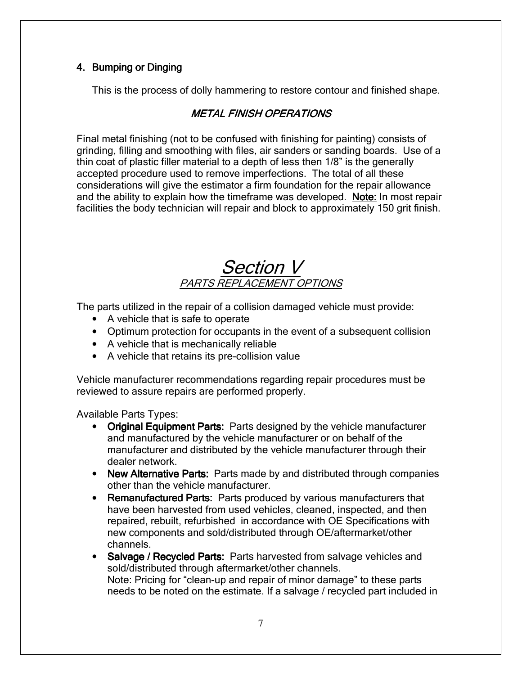### 4. Bumping or Dinging

This is the process of dolly hammering to restore contour and finished shape.

### **METAL FINISH OPERATIONS**

Final metal finishing (not to be confused with finishing for painting) consists of grinding, filling and smoothing with files, air sanders or sanding boards. Use of a thin coat of plastic filler material to a depth of less then 1/8" is the generally accepted procedure used to remove imperfections. The total of all these considerations will give the estimator a firm foundation for the repair allowance and the ability to explain how the timeframe was developed. Note: In most repair facilities the body technician will repair and block to approximately 150 grit finish.

### Section V PARTS REPLACEMENT OPTIONS

The parts utilized in the repair of a collision damaged vehicle must provide:

- A vehicle that is safe to operate
- Optimum protection for occupants in the event of a subsequent collision
- A vehicle that is mechanically reliable
- A vehicle that retains its pre-collision value

Vehicle manufacturer recommendations regarding repair procedures must be reviewed to assure repairs are performed properly.

Available Parts Types:

- Original Equipment Parts: Parts designed by the vehicle manufacturer and manufactured by the vehicle manufacturer or on behalf of the manufacturer and distributed by the vehicle manufacturer through their dealer network.
- New Alternative Parts: Parts made by and distributed through companies other than the vehicle manufacturer.
- Remanufactured Parts: Parts produced by various manufacturers that have been harvested from used vehicles, cleaned, inspected, and then repaired, rebuilt, refurbished in accordance with OE Specifications with new components and sold/distributed through OE/aftermarket/other channels.
- Salvage / Recycled Parts: Parts harvested from salvage vehicles and sold/distributed through aftermarket/other channels. Note: Pricing for "clean-up and repair of minor damage" to these parts needs to be noted on the estimate. If a salvage / recycled part included in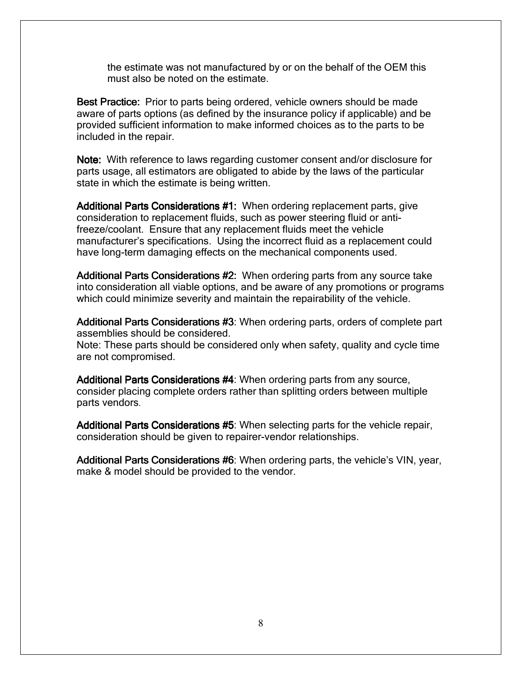the estimate was not manufactured by or on the behalf of the OEM this must also be noted on the estimate.

Best Practice: Prior to parts being ordered, vehicle owners should be made aware of parts options (as defined by the insurance policy if applicable) and be provided sufficient information to make informed choices as to the parts to be included in the repair.

Note: With reference to laws regarding customer consent and/or disclosure for parts usage, all estimators are obligated to abide by the laws of the particular state in which the estimate is being written.

Additional Parts Considerations #1: When ordering replacement parts, give consideration to replacement fluids, such as power steering fluid or antifreeze/coolant. Ensure that any replacement fluids meet the vehicle manufacturer's specifications. Using the incorrect fluid as a replacement could have long-term damaging effects on the mechanical components used.

Additional Parts Considerations #2: When ordering parts from any source take into consideration all viable options, and be aware of any promotions or programs which could minimize severity and maintain the repairability of the vehicle.

Additional Parts Considerations #3: When ordering parts, orders of complete part assemblies should be considered. Note: These parts should be considered only when safety, quality and cycle time are not compromised.

Additional Parts Considerations #4: When ordering parts from any source, consider placing complete orders rather than splitting orders between multiple parts vendors.

Additional Parts Considerations #5: When selecting parts for the vehicle repair, consideration should be given to repairer-vendor relationships.

Additional Parts Considerations #6: When ordering parts, the vehicle's VIN, year, make & model should be provided to the vendor.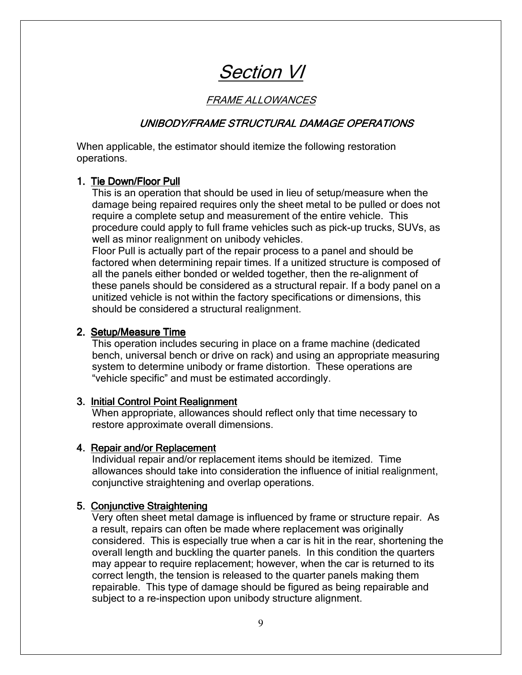Section VI

### FRAME ALLOWANCES

#### UNIBODY/FRAME STRUCTURAL DAMAGE OPERATIONS

When applicable, the estimator should itemize the following restoration operations.

#### 1. Tie Down/Floor Pull 1. Tie Down/Floor Pull

This is an operation that should be used in lieu of setup/measure when the damage being repaired requires only the sheet metal to be pulled or does not require a complete setup and measurement of the entire vehicle. This procedure could apply to full frame vehicles such as pick-up trucks, SUVs, as well as minor realignment on unibody vehicles.

Floor Pull is actually part of the repair process to a panel and should be factored when determining repair times. If a unitized structure is composed of all the panels either bonded or welded together, then the re-alignment of these panels should be considered as a structural repair. If a body panel on a unitized vehicle is not within the factory specifications or dimensions, this should be considered a structural realignment.

#### 2. Setup/Measure Time 2. Setup/Measure Time

This operation includes securing in place on a frame machine (dedicated bench, universal bench or drive on rack) and using an appropriate measuring system to determine unibody or frame distortion. These operations are "vehicle specific" and must be estimated accordingly.

#### 3. Initial Control Point Realignment

When appropriate, allowances should reflect only that time necessary to restore approximate overall dimensions.

#### 4. Repair and/or Replacement 4. Repair and/or Replacement

Individual repair and/or replacement items should be itemized. Time allowances should take into consideration the influence of initial realignment, conjunctive straightening and overlap operations.

#### 5. Conjunctive Straightening

Very often sheet metal damage is influenced by frame or structure repair. As a result, repairs can often be made where replacement was originally considered. This is especially true when a car is hit in the rear, shortening the overall length and buckling the quarter panels. In this condition the quarters may appear to require replacement; however, when the car is returned to its correct length, the tension is released to the quarter panels making them repairable. This type of damage should be figured as being repairable and subject to a re-inspection upon unibody structure alignment.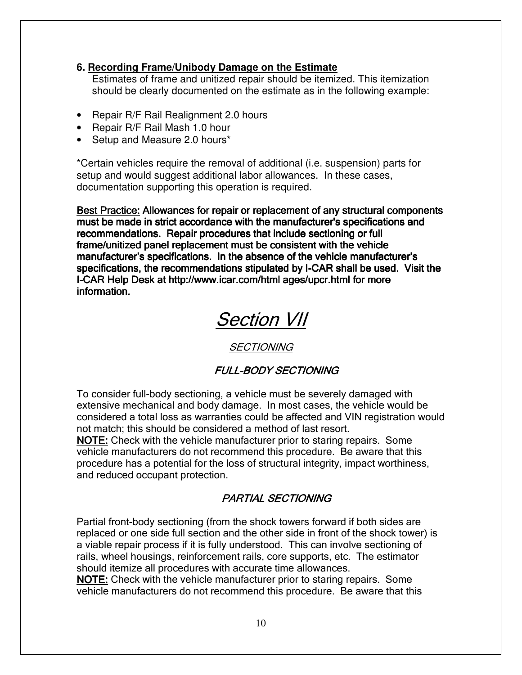### **6. Recording Frame/Unibody Damage on the Estimate**

Estimates of frame and unitized repair should be itemized. This itemization should be clearly documented on the estimate as in the following example:

- Repair R/F Rail Realignment 2.0 hours
- Repair R/F Rail Mash 1.0 hour
- Setup and Measure 2.0 hours\*

\*Certain vehicles require the removal of additional (i.e. suspension) parts for setup and would suggest additional labor allowances. In these cases, documentation supporting this operation is required.

Best Practice: Allowances for repair or replacement of any structural components must be made in strict accordance with the manufacturer's specifications and recommendations. Repair procedures that include sectioning or full frame/unitized panel replacement must be consistent with the vehicle manufacturer's specifications. In the absence of the vehicle manufacturer's specifications, the recommendations stipulated by I-CAR shall be used. Visit the I-CAR Help Desk at http://www.icar.com/html ages/upcr.html for more information.

## Section VII

### **SECTIONING**

### **FULL-BODY SECTIONING**

To consider full-body sectioning, a vehicle must be severely damaged with extensive mechanical and body damage. In most cases, the vehicle would be considered a total loss as warranties could be affected and VIN registration would not match; this should be considered a method of last resort.

**NOTE:** Check with the vehicle manufacturer prior to staring repairs. Some vehicle manufacturers do not recommend this procedure. Be aware that this procedure has a potential for the loss of structural integrity, impact worthiness, and reduced occupant protection.

### **PARTIAL SECTIONING**

Partial front-body sectioning (from the shock towers forward if both sides are replaced or one side full section and the other side in front of the shock tower) is a viable repair process if it is fully understood. This can involve sectioning of rails, wheel housings, reinforcement rails, core supports, etc. The estimator should itemize all procedures with accurate time allowances.

NOTE: Check with the vehicle manufacturer prior to staring repairs. Some vehicle manufacturers do not recommend this procedure. Be aware that this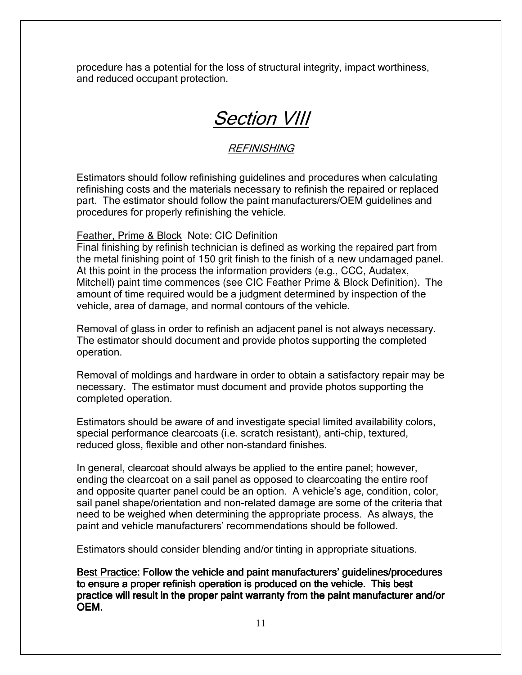procedure has a potential for the loss of structural integrity, impact worthiness, and reduced occupant protection.

## Section VIII

### **REFINISHING**

Estimators should follow refinishing guidelines and procedures when calculating refinishing costs and the materials necessary to refinish the repaired or replaced part. The estimator should follow the paint manufacturers/OEM guidelines and procedures for properly refinishing the vehicle.

### Feather, Prime & Block Note: CIC Definition

Final finishing by refinish technician is defined as working the repaired part from the metal finishing point of 150 grit finish to the finish of a new undamaged panel. At this point in the process the information providers (e.g., CCC, Audatex, Mitchell) paint time commences (see CIC Feather Prime & Block Definition). The amount of time required would be a judgment determined by inspection of the vehicle, area of damage, and normal contours of the vehicle.

Removal of glass in order to refinish an adjacent panel is not always necessary. The estimator should document and provide photos supporting the completed operation.

Removal of moldings and hardware in order to obtain a satisfactory repair may be necessary. The estimator must document and provide photos supporting the completed operation.

Estimators should be aware of and investigate special limited availability colors, special performance clearcoats (i.e. scratch resistant), anti-chip, textured, reduced gloss, flexible and other non-standard finishes.

In general, clearcoat should always be applied to the entire panel; however, ending the clearcoat on a sail panel as opposed to clearcoating the entire roof and opposite quarter panel could be an option. A vehicle's age, condition, color, sail panel shape/orientation and non-related damage are some of the criteria that need to be weighed when determining the appropriate process. As always, the paint and vehicle manufacturers' recommendations should be followed.

Estimators should consider blending and/or tinting in appropriate situations.

Best Practice: Follow the vehicle and paint manufacturers' quidelines/procedures to ensure a proper refinish operation is produced on the vehicle. This best practice will result in the proper paint warranty from the paint manufacturer and/or OEM.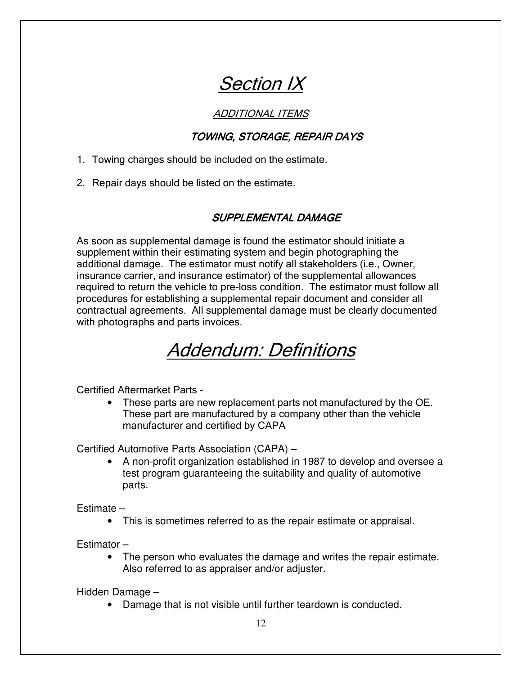## **Section IX**

### ADDITIONAL ITEMS

### TOWING, STORAGE, REPAIR DAYS

1. Towing charges should be included on the estimate.

2. Repair days should be listed on the estimate.

### SUPPLEMENTAL DAMAGE

As soon as supplemental damage is found the estimator should initiate a supplement within their estimating system and begin photographing the additional damage. The estimator must notify all stakeholders (i.e., Owner, insurance carrier, and insurance estimator) of the supplemental allowances required to return the vehicle to pre-loss condition. The estimator must follow all procedures for establishing a supplemental repair document and consider all contractual agreements. All supplemental damage must be clearly documented with photographs and parts invoices.

## Addendum: Definitions

Certified Aftermarket Parts –

• These parts are new replacement parts not manufactured by the OE. These part are manufactured by a company other than the vehicle manufacturer and certified by CAPA

Certified Automotive Parts Association (CAPA) –

• A non-profit organization established in 1987 to develop and oversee a test program guaranteeing the suitability and quality of automotive parts.

Estimate –

• This is sometimes referred to as the repair estimate or appraisal.

Estimator –

• The person who evaluates the damage and writes the repair estimate. Also referred to as appraiser and/or adjuster.

Hidden Damage –

• Damage that is not visible until further teardown is conducted.